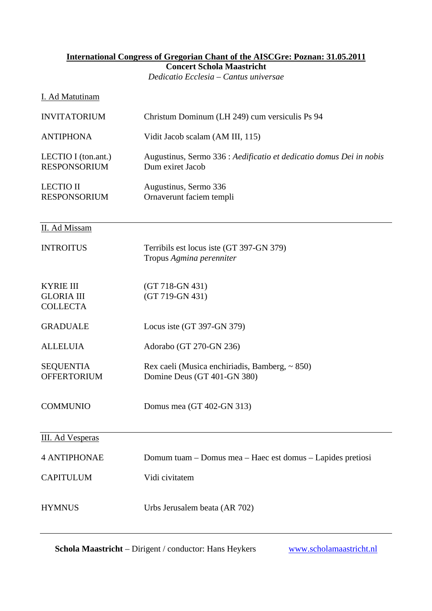#### **International Congress of Gregorian Chant of the AISCGre: Poznan: 31.05.2011 Concert Schola Maastricht**  *Dedicatio Ecclesia – Cantus universae*

#### I. Ad Matutinam

| <b>INVITATORIUM</b>                                      | Christum Dominum (LH 249) cum versiculis Ps 94                                          |
|----------------------------------------------------------|-----------------------------------------------------------------------------------------|
| <b>ANTIPHONA</b>                                         | Vidit Jacob scalam (AM III, 115)                                                        |
| LECTIO I (ton.ant.)<br><b>RESPONSORIUM</b>               | Augustinus, Sermo 336 : Aedificatio et dedicatio domus Dei in nobis<br>Dum exiret Jacob |
| <b>LECTIO II</b><br><b>RESPONSORIUM</b>                  | Augustinus, Sermo 336<br>Ornaverunt faciem templi                                       |
| II. Ad Missam                                            |                                                                                         |
| <b>INTROITUS</b>                                         | Terribils est locus iste (GT 397-GN 379)<br>Tropus Agmina perenniter                    |
| <b>KYRIE III</b><br><b>GLORIA III</b><br><b>COLLECTA</b> | $(GT 718-GN 431)$<br>(GT 719-GN 431)                                                    |
| <b>GRADUALE</b>                                          | Locus iste (GT 397-GN 379)                                                              |
| <b>ALLELUIA</b>                                          | Adorabo (GT 270-GN 236)                                                                 |
| <b>SEQUENTIA</b><br><b>OFFERTORIUM</b>                   | Rex caeli (Musica enchiriadis, Bamberg, ~ 850)<br>Domine Deus (GT 401-GN 380)           |
| <b>COMMUNIO</b>                                          | Domus mea (GT 402-GN 313)                                                               |
| <b>III.</b> Ad Vesperas                                  |                                                                                         |
| <b>4 ANTIPHONAE</b>                                      | Domum tuam – Domus mea – Haec est domus – Lapides pretiosi                              |
| <b>CAPITULUM</b>                                         | Vidi civitatem                                                                          |
| <b>HYMNUS</b>                                            | Urbs Jerusalem beata (AR 702)                                                           |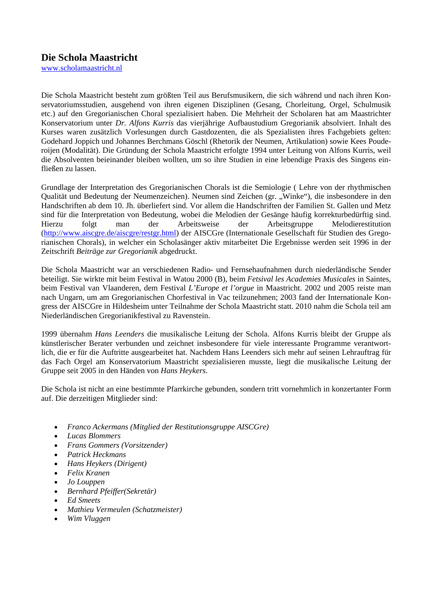### **Die Schola Maastricht**

[www.scholamaastricht.nl](http://www.scholamaastricht.nl/)

Die Schola Maastricht besteht zum größten Teil aus Berufsmusikern, die sich während und nach ihren Konservatoriumsstudien, ausgehend von ihren eigenen Disziplinen (Gesang, Chorleitung, Orgel, Schulmusik etc.) auf den Gregorianischen Choral spezialisiert haben. Die Mehrheit der Scholaren hat am Maastrichter Konservatorium unter *Dr. Alfons Kurris* das vierjährige Aufbaustudium Gregorianik absolviert. Inhalt des Kurses waren zusätzlich Vorlesungen durch Gastdozenten, die als Spezialisten ihres Fachgebiets gelten: Godehard Joppich und Johannes Berchmans Göschl (Rhetorik der Neumen, Artikulation) sowie Kees Pouderoijen (Modalität). Die Gründung der Schola Maastricht erfolgte 1994 unter Leitung von Alfons Kurris, weil die Absolventen beieinander bleiben wollten, um so ihre Studien in eine lebendige Praxis des Singens einfließen zu lassen.

Grundlage der Interpretation des Gregorianischen Chorals ist die Semiologie ( Lehre von der rhythmischen Qualität und Bedeutung der Neumenzeichen). Neumen sind Zeichen (gr. "Winke"), die insbesondere in den Handschriften ab dem 10. Jh. überliefert sind. Vor allem die Handschriften der Familien St. Gallen und Metz sind für die Interpretation von Bedeutung, wobei die Melodien der Gesänge häufig korrekturbedürftig sind. Hierzu folgt man der Arbeitsweise der Arbeitsgruppe Melodierestitution [\(http://www.aiscgre.de/aiscgre/restgr.html\)](http://www.aiscgre.de/aiscgre/restgr.html) der AISCGre (Internationale Gesellschaft für Studien des Gregorianischen Chorals), in welcher ein Scholasänger aktiv mitarbeitet Die Ergebnisse werden seit 1996 in der Zeitschrift *Beiträge zur Gregorianik* abgedruckt.

Die Schola Maastricht war an verschiedenen Radio- und Fernsehaufnahmen durch niederländische Sender beteiligt. Sie wirkte mit beim Festival in Watou 2000 (B), beim *Fetsival les Academies Musicales* in Saintes, beim Festival van Vlaanderen, dem Festival *L'Europe et l'orgue* in Maastricht. 2002 und 2005 reiste man nach Ungarn, um am Gregorianischen Chorfestival in Vac teilzunehmen; 2003 fand der Internationale Kongress der AISCGre in Hildesheim unter Teilnahme der Schola Maastricht statt. 2010 nahm die Schola teil am Niederländischen Gregorianikfestival zu Ravenstein.

1999 übernahm *Hans Leenders* die musikalische Leitung der Schola. Alfons Kurris bleibt der Gruppe als künstlerischer Berater verbunden und zeichnet insbesondere für viele interessante Programme verantwortlich, die er für die Auftritte ausgearbeitet hat. Nachdem Hans Leenders sich mehr auf seinen Lehrauftrag für das Fach Orgel am Konservatorium Maastricht spezialisieren musste, liegt die musikalische Leitung der Gruppe seit 2005 in den Händen von *Hans Heykers*.

Die Schola ist nicht an eine bestimmte Pfarrkirche gebunden, sondern tritt vornehmlich in konzertanter Form auf. Die derzeitigen Mitglieder sind:

- *Franco Ackermans (Mitglied der Restitutionsgruppe AISCGre)*
- *Lucas Blommers*
- *Frans Gommers (Vorsitzender)*
- *Patrick Heckmans*
- *Hans Heykers (Dirigent)*
- *Felix Kranen*
- *Jo Louppen*
- *Bernhard Pfeiffer(Sekretär)*
- *Ed Smeets*
- *Mathieu Vermeulen (Schatzmeister)*
- *Wim Vluggen*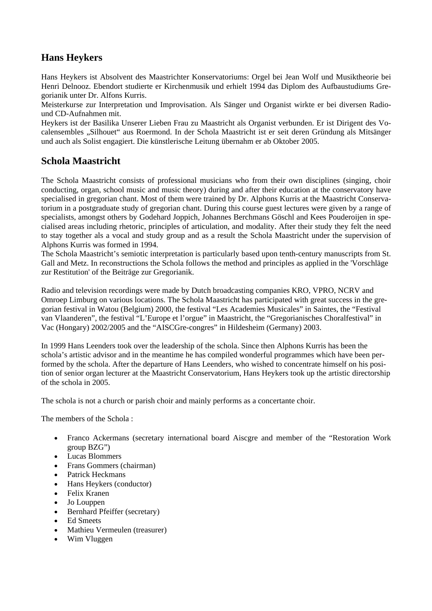## **Hans Heykers**

Hans Heykers ist Absolvent des Maastrichter Konservatoriums: Orgel bei Jean Wolf und Musiktheorie bei Henri Delnooz. Ebendort studierte er Kirchenmusik und erhielt 1994 das Diplom des Aufbaustudiums Gregorianik unter Dr. Alfons Kurris.

Meisterkurse zur Interpretation und Improvisation. Als Sänger und Organist wirkte er bei diversen Radiound CD-Aufnahmen mit.

Heykers ist der Basilika Unserer Lieben Frau zu Maastricht als Organist verbunden. Er ist Dirigent des Vocalensembles "Silhouet" aus Roermond. In der Schola Maastricht ist er seit deren Gründung als Mitsänger und auch als Solist engagiert. Die künstlerische Leitung übernahm er ab Oktober 2005.

### **Schola Maastricht**

The Schola Maastricht consists of professional musicians who from their own disciplines (singing, choir conducting, organ, school music and music theory) during and after their education at the conservatory have specialised in gregorian chant. Most of them were trained by Dr. Alphons Kurris at the Maastricht Conservatorium in a postgraduate study of gregorian chant. During this course guest lectures were given by a range of specialists, amongst others by Godehard Joppich, Johannes Berchmans Göschl and Kees Pouderoijen in specialised areas including rhetoric, principles of articulation, and modality. After their study they felt the need to stay together als a vocal and study group and as a result the Schola Maastricht under the supervision of Alphons Kurris was formed in 1994.

The Schola Maastricht's semiotic interpretation is particularly based upon tenth-century manuscripts from St. Gall and Metz. In reconstructions the Schola follows the method and principles as applied in the 'Vorschläge zur Restitution' of the Beiträge zur Gregorianik.

Radio and television recordings were made by Dutch broadcasting companies KRO, VPRO, NCRV and Omroep Limburg on various locations. The Schola Maastricht has participated with great success in the gregorian festival in Watou (Belgium) 2000, the festival "Les Academies Musicales" in Saintes, the "Festival van Vlaanderen", the festival "L'Europe et l'orgue" in Maastricht, the "Gregorianisches Choralfestival" in Vac (Hongary) 2002/2005 and the "AISCGre-congres" in Hildesheim (Germany) 2003.

In 1999 Hans Leenders took over the leadership of the schola. Since then Alphons Kurris has been the schola's artistic advisor and in the meantime he has compiled wonderful programmes which have been performed by the schola. After the departure of Hans Leenders, who wished to concentrate himself on his position of senior organ lecturer at the Maastricht Conservatorium, Hans Heykers took up the artistic directorship of the schola in 2005.

The schola is not a church or parish choir and mainly performs as a concertante choir.

The members of the Schola :

- Franco Ackermans (secretary international board Aiscgre and member of the "Restoration Work group BZG")
- Lucas Blommers
- Frans Gommers (chairman)
- Patrick Heckmans
- Hans Heykers (conductor)
- Felix Kranen
- Jo Louppen
- Bernhard Pfeiffer (secretary)
- Ed Smeets
- Mathieu Vermeulen (treasurer)
- Wim Vluggen